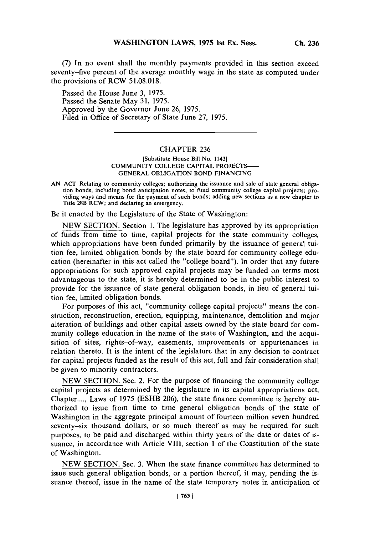**(7) In no event** shall the monthly payments provided in this section exceed seventy-five percent of the average monthly wage in the state as computed under the provisions of RCW **51.08.018.**

Passed the House June **3,** *1975.* Passed the Senate May **31, 1975.** Approved **by** the Governor June **26,** *1975.* Filed in Office of Secretary of State June **27, 1975.**

### CHAPTER **236**

### [Substitute House Bill No. 1143] COMMUNITY **COLLEGE** CAPITAL **PROJECTS-GENERAL** OBLIGATION **BOND FINANCING**

**AN ACT** Relating to community colleges; authorizing the issuance and sale of state general obligation bonds, including bond anticipation notes, to fund community college capital projects; providing ways and means for the payment of such bonds; adding new sections as a new chapter to Title 28B RCW; and declaring an emergency.

Be it enacted **by** the Legislature of the State of Washington:

**NEW SECTION.** Section **1.** The legislature has approved **by** its appropriation of funds from time to time, capital projects for the state community colleges, which appropriations have been funded primarily **by** the issuance of general tuition fee, limited obligation bonds **by** the state board for community college education (hereinafter in this act called the "college board"). In order that any future appropriations for such approved capital projects may be funded on terms most advantageous to the state, it is hereby determined to be in the public interest to provide for the issuance of state general obligation bonds, in lieu of general tuition fee, limited obligation bonds.

For purposes of this act, "community college capital projects" means the construction, reconstruction, erection, equipping, maintenance, demolition and major alteration of buildings and other capital assets owned **by** the state board for community college education in the name of the state of Washington, and the acquisition of sites, rights-of-way, easements, improvements or appurtenances in relation thereto. It is the intent of the legislature that in any decision to contract for capital projects funded as the result of this act, full and fair consideration shall be given to minority contractors.

**NEW SECTION.** Sec. 2. For the purpose of financing the community college capital projects as determined **by** the legislature in its capital appropriations act, Chapter **....,** Laws of **1975 (ESHB 206),** the state finance committee is hereby authorized to issue from time to time general obligation bonds of the state of Washington in the aggregate principal amount of fourteen million seven hundred seventy-six thousand dollars, or so much thereof as may be required for such purposes, to be paid and discharged within thirty years of the date or dates of issuance, in accordance with Article VIII, section **I** of the Constitution of the state of Washington.

**NEW SECTION.** Sec. **3.** When the state finance committee has determined to issue such general obligation bonds, or a portion thereof, it may, pending the issuance thereof, issue in the name of the state temporary notes in anticipation of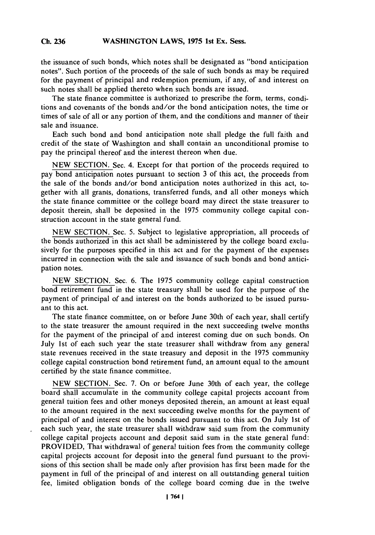#### **Ch 236WASHINGTON LAWS, 1975 1st Ex. Sess. Ch. 236**

the issuance of such bonds, which notes shall be designated as "bond anticipation notes". Such portion of the proceeds of the sale of such bonds as may be required for the payment of principal and redemption premium, if any, of and interest on such notes shall be applied thereto when such bonds are issued.

The state finance committee is authorized to prescribe the form, terms, conditions and covenants of the bonds and/or the bond anticipation notes, the time or times of sale of all or any portion of them, and the conditions and manner of their sale and issuance.

Each such bond and bond anticipation note shall pledge the full faith and credit of the state of Washington and shall contain an unconditional promise to pay the principal thereof and the interest thereon when due.

**NEW SECTION.** Sec. 4. Except for that portion of the proceeds required to pay bond anticipation notes pursuant to section **3** of this act, the proceeds from the sale of the bonds and/or bond anticipation notes authorized in this act, together with all grants, donations, transferred funds, and all other moneys which the state finance committee or the college board may direct the state treasurer to deposit therein, shall be deposited in the *1975* community college capital construction account in the state general fund.

**NEW SECTION.** Sec. *5.* Subject to legislative appropriation, all proceeds of the bonds authorized in this act shall be administered **by** the college board exclusively for the purposes specified in this act and for the payment of the expenses incurred in connection with the sale and issuance of such bonds and bond anticipation notes.

**NEW SECTION.** Sec. **6.** The *1975* community college capital construction bond retirement fund in the state treasury shall be used for the purpose of the payment of principal of and interest on the bonds authorized to be issued pursuant to this act.

The state finance committee, on or before June 30th of each year, shall certify to the state treasurer the amount required in the next succeeding twelve months for the payment of the principal of and interest coming due on such bonds. On July 1st of each such year the state treasurer shall withdraw from any general state revenues received in the state treasury and deposit in the *1975* community college capital construction bond retirement fund, an amount equal to the amount certified **by** the state finance committee.

**NEW SECTION.** Sec. **7.** On or before June 30th of each year, the college board shall accumulate in the community college capital projects account from general tuition fees and other moneys deposited therein, an amount at least equal to the amount required in the next succeeding twelve months for the payment of principal of and interest on-the bonds issued pursuant to this act. On July 1st of each such year, the state treasurer shall withdraw said sum from the community college capital projects account and deposit said sum in the state general fund: PROVIDED, That withdrawal of general tuition fees from the community college capital projects account for deposit into the general fund pursuant to the provisions of this section shall be made only after provision has first been made for the payment in full of the principal of and interest on all outstanding general tuition fee, limited obligation bonds of the college board coming due in the twelve